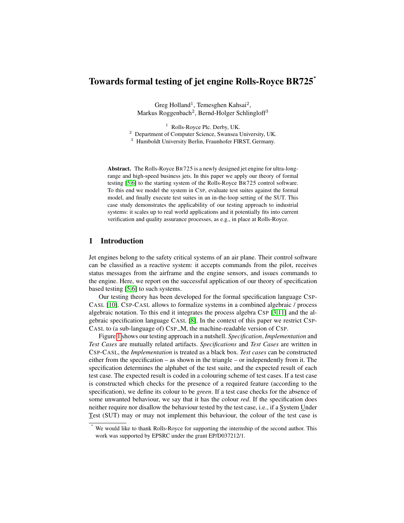# Towards formal testing of jet engine Rolls-Royce BR725<sup>∗</sup>

Greg Holland<sup>1</sup>, Temesghen Kahsai<sup>2</sup>, Markus Roggenbach<sup>2</sup>, Bernd-Holger Schlingloff<sup>3</sup>

<sup>1</sup> Rolls-Royce Plc. Derby, UK. <sup>2</sup> Department of Computer Science, Swansea University, UK. <sup>3</sup> Humboldt University Berlin, Fraunhofer FIRST, Germany.

Abstract. The Rolls-Royce BR725 is a newly designed jet engine for ultra-longrange and high-speed business jets. In this paper we apply our theory of formal testing [\[5](#page-12-0)[,6\]](#page-12-1) to the starting system of the Rolls-Royce BR725 control software. To this end we model the system in CSP, evaluate test suites against the formal model, and finally execute test suites in an in-the-loop setting of the SUT. This case study demonstrates the applicability of our testing approach to industrial systems: it scales up to real world applications and it potentially fits into current verification and quality assurance processes, as e.g., in place at Rolls-Royce.

# 1 Introduction

Jet engines belong to the safety critical systems of an air plane. Their control software can be classified as a reactive system: it accepts commands from the pilot, receives status messages from the airframe and the engine sensors, and issues commands to the engine. Here, we report on the successful application of our theory of specification based testing [\[5](#page-12-0)[,6\]](#page-12-1) to such systems.

Our testing theory has been developed for the formal specification language CSP-CASL [\[10\]](#page-12-2). CSP-CASL allows to formalize systems in a combined algebraic / process algebraic notation. To this end it integrates the process algebra CSP [\[3](#page-12-3)[,11\]](#page-12-4) and the algebraic specification language CASL [\[8\]](#page-12-5). In the context of this paper we restrict CSP-CASL to (a sub-language of) CSP\_M, the machine-readable version of CSP.

Figure [1](#page-1-0) shows our testing approach in a nutshell. *Specification*, *Implementation* and *Test Cases* are mutually related artifacts. *Specifications* and *Test Cases* are written in CSP-CASL, the *Implementation* is treated as a black box. *Test cases* can be constructed either from the specification – as shown in the triangle – or independently from it. The specification determines the alphabet of the test suite, and the expected result of each test case. The expected result is coded in a colouring scheme of test cases. If a test case is constructed which checks for the presence of a required feature (according to the specification), we define its colour to be *green*. If a test case checks for the absence of some unwanted behaviour, we say that it has the colour *red*. If the specification does neither require nor disallow the behaviour tested by the test case, i.e., if a System Under Test (SUT) may or may not implement this behaviour, the colour of the test case is

We would like to thank Rolls-Royce for supporting the internship of the second author. This work was supported by EPSRC under the grant EP/D037212/1.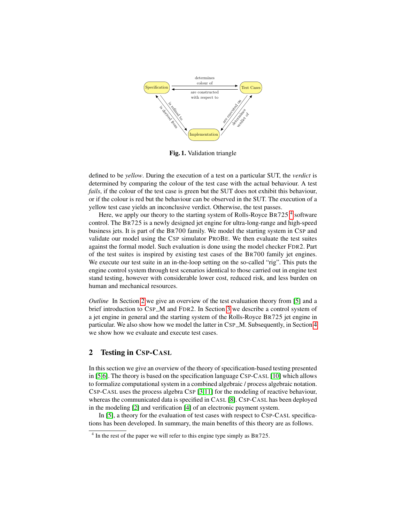

<span id="page-1-0"></span>Fig. 1. Validation triangle

defined to be *yellow*. During the execution of a test on a particular SUT, the *verdict* is determined by comparing the colour of the test case with the actual behaviour. A test *fails*, if the colour of the test case is green but the SUT does not exhibit this behaviour, or if the colour is red but the behaviour can be observed in the SUT. The execution of a yellow test case yields an inconclusive verdict. Otherwise, the test passes.

Here, we apply our theory to the starting system of Rolls-Royce BR725<sup>[4](#page-1-1)</sup> software control. The BR725 is a newly designed jet engine for ultra-long-range and high-speed business jets. It is part of the BR700 family. We model the starting system in CSP and validate our model using the CSP simulator PROBE. We then evaluate the test suites against the formal model. Such evaluation is done using the model checker FDR2. Part of the test suites is inspired by existing test cases of the BR700 family jet engines. We execute our test suite in an in-the-loop setting on the so-called "rig". This puts the engine control system through test scenarios identical to those carried out in engine test stand testing, however with considerable lower cost, reduced risk, and less burden on human and mechanical resources.

*Outline* In Section [2](#page-1-2) we give an overview of the test evaluation theory from [\[5\]](#page-12-0) and a brief introduction to CSP\_M and FDR2. In Section [3](#page-3-0) we describe a control system of a jet engine in general and the starting system of the Rolls-Royce BR725 jet engine in particular. We also show how we model the latter in CSP\_M. Subsequently, in Section [4](#page-9-0) we show how we evaluate and execute test cases.

# <span id="page-1-2"></span>2 Testing in CSP-CASL

In this section we give an overview of the theory of specification-based testing presented in [\[5](#page-12-0)[,6\]](#page-12-1). The theory is based on the specification language CSP-CASL [\[10\]](#page-12-2) which allows to formalize computational system in a combined algebraic / process algebraic notation. CSP-CASL uses the process algebra CSP [\[3](#page-12-3)[,11\]](#page-12-4) for the modeling of reactive behaviour, whereas the communicated data is specified in CASL [\[8\]](#page-12-5). CSP-CASL has been deployed in the modeling [\[2\]](#page-12-6) and verification [\[4\]](#page-12-7) of an electronic payment system.

In [\[5\]](#page-12-0), a theory for the evaluation of test cases with respect to CSP-CASL specifications has been developed. In summary, the main benefits of this theory are as follows.

<span id="page-1-1"></span><sup>&</sup>lt;sup>4</sup> In the rest of the paper we will refer to this engine type simply as BR725.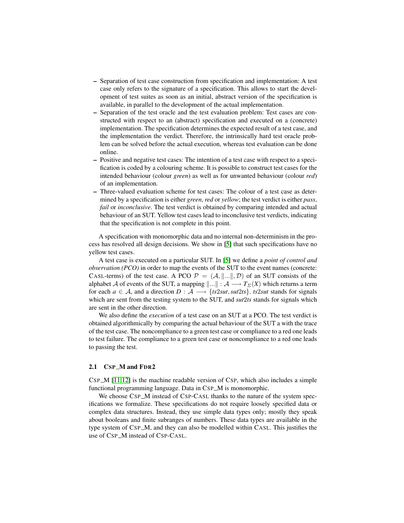- Separation of test case construction from specification and implementation: A test case only refers to the signature of a specification. This allows to start the development of test suites as soon as an initial, abstract version of the specification is available, in parallel to the development of the actual implementation.
- Separation of the test oracle and the test evaluation problem: Test cases are constructed with respect to an (abstract) specification and executed on a (concrete) implementation. The specification determines the expected result of a test case, and the implementation the verdict. Therefore, the intrinsically hard test oracle problem can be solved before the actual execution, whereas test evaluation can be done online.
- Positive and negative test cases: The intention of a test case with respect to a specification is coded by a colouring scheme. It is possible to construct test cases for the intended behaviour (colour *green*) as well as for unwanted behaviour (colour *red*) of an implementation.
- Three-valued evaluation scheme for test cases: The colour of a test case as determined by a specification is either *green*, *red* or *yellow*; the test verdict is either *pass*, *fail* or *inconclusive*. The test verdict is obtained by comparing intended and actual behaviour of an SUT. Yellow test cases lead to inconclusive test verdicts, indicating that the specification is not complete in this point.

A specification with monomorphic data and no internal non-determinism in the process has resolved all design decisions. We show in [\[5\]](#page-12-0) that such specifications have no yellow test cases.

A test case is executed on a particular SUT. In [\[5\]](#page-12-0) we define a *point of control and observation (PCO)* in order to map the events of the SUT to the event names (concrete: CASL-terms) of the test case. A PCO  $P = (A, ||...||, D)$  of an SUT consists of the alphabet A of events of the SUT, a mapping  $\|\ldots\| : A \longrightarrow T_{\Sigma}(X)$  which returns a term for each  $a \in \mathcal{A}$ , and a direction  $D : \mathcal{A} \longrightarrow \{ts2sut, sut2ts\}$ . *ts*2*sut* stands for signals which are sent from the testing system to the SUT, and *sut*2*ts* stands for signals which are sent in the other direction.

We also define the *execution* of a test case on an SUT at a PCO. The test verdict is obtained algorithmically by comparing the actual behaviour of the SUT a with the trace of the test case. The noncompliance to a green test case or compliance to a red one leads to test failure. The compliance to a green test case or noncompliance to a red one leads to passing the test.

## 2.1 CSP\_M and FDR2

 $CSP_{M}$  [\[11](#page-12-4)[,12\]](#page-12-8) is the machine readable version of CSP, which also includes a simple functional programming language. Data in CSP\_M is monomorphic.

We choose CSP\_M instead of CSP-CASL thanks to the nature of the system specifications we formalize. These specifications do not require loosely specified data or complex data structures. Instead, they use simple data types only; mostly they speak about booleans and finite subranges of numbers. These data types are available in the type system of CSP\_M, and they can also be modelled within CASL. This justifies the use of CSP\_M instead of CSP-CASL.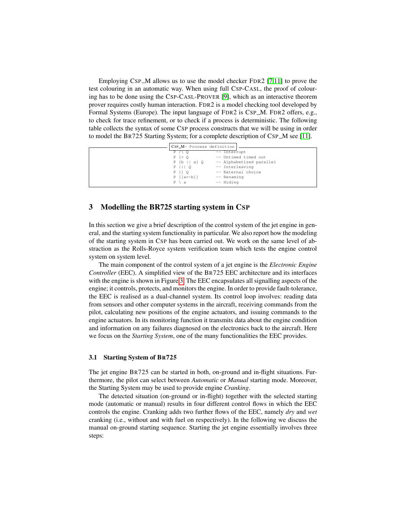Employing CSP $-M$  allows us to use the model checker FDR2 [\[7](#page-12-9)[,11\]](#page-12-4) to prove the test colouring in an automatic way. When using full CSP-CASL, the proof of colouring has to be done using the CSP-CASL-PROVER [\[9\]](#page-12-10), which as an interactive theorem prover requires costly human interaction. FDR2 is a model checking tool developed by Formal Systems (Europe). The input language of FDR2 is CSP\_M. FDR2 offers, e.g., to check for trace refinement, or to check if a process is deterministic. The following table collects the syntax of some CSP process constructs that we will be using in order to model the BR725 Starting System; for a complete description of CSP M see [\[11\]](#page-12-4).

| CSP_M- Process definition               |                          |
|-----------------------------------------|--------------------------|
| $P \wedge Q$                            | $--$ Interrupt           |
| $P \ge 0$                               | -- Untimed timed out     |
| P [b    a] Q                            | -- Alphabetized parallel |
| $P$ $  $ $ $ 0                          | -- Interleaving          |
| $P$ $I$ $Q$                             | -- External choice       |
| $P$ $\lceil a \left( -b \right) \rceil$ | -- Renaming              |
| $P \setminus a$                         | -- Hiding                |
|                                         |                          |

## <span id="page-3-0"></span>3 Modelling the BR725 starting system in CSP

In this section we give a brief description of the control system of the jet engine in general, and the starting system functionality in particular. We also report how the modeling of the starting system in CSP has been carried out. We work on the same level of abstraction as the Rolls-Royce system verification team which tests the engine control system on system level.

The main component of the control system of a jet engine is the *Electronic Engine Controller* (EEC). A simplified view of the BR725 EEC architecture and its interfaces with the engine is shown in Figure [3.](#page-3-0) The EEC encapsulates all signalling aspects of the engine; it controls, protects, and monitors the engine. In order to provide fault-tolerance, the EEC is realised as a dual-channel system. Its control loop involves: reading data from sensors and other computer systems in the aircraft, receiving commands from the pilot, calculating new positions of the engine actuators, and issuing commands to the engine actuators. In its monitoring function it transmits data about the engine condition and information on any failures diagnosed on the electronics back to the aircraft. Here we focus on the *Starting System*, one of the many functionalities the EEC provides.

#### 3.1 Starting System of BR725

The jet engine BR725 can be started in both, on-ground and in-flight situations. Furthermore, the pilot can select between *Automatic* or *Manual* starting mode. Moreover, the Starting System may be used to provide engine *Cranking*.

The detected situation (on-ground or in-flight) together with the selected starting mode (automatic or manual) results in four different control flows in which the EEC controls the engine. Cranking adds two further flows of the EEC, namely *dry* and *wet* cranking (i.e., without and with fuel on respectively). In the following we discuss the manual on-ground starting sequence. Starting the jet engine essentially involves three steps: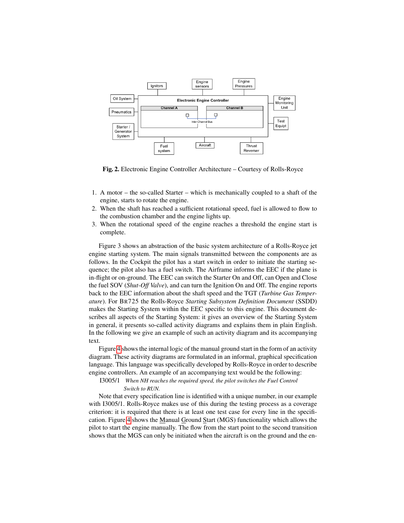

Fig. 2. Electronic Engine Controller Architecture – Courtesy of Rolls-Royce

- 1. A motor the so-called Starter which is mechanically coupled to a shaft of the engine, starts to rotate the engine.
- 2. When the shaft has reached a sufficient rotational speed, fuel is allowed to flow to the combustion chamber and the engine lights up.
- 3. When the rotational speed of the engine reaches a threshold the engine start is complete.

Figure 3 shows an abstraction of the basic system architecture of a Rolls-Royce jet engine starting system. The main signals transmitted between the components are as follows. In the Cockpit the pilot has a start switch in order to initiate the starting sequence; the pilot also has a fuel switch. The Airframe informs the EEC if the plane is in-flight or on-ground. The EEC can switch the Starter On and Off, can Open and Close the fuel SOV (*Shut-Off Valve*), and can turn the Ignition On and Off. The engine reports back to the EEC information about the shaft speed and the TGT (*Turbine Gas Temperature*). For BR725 the Rolls-Royce *Starting Subsystem Definition Document* (SSDD) makes the Starting System within the EEC specific to this engine. This document describes all aspects of the Starting System: it gives an overview of the Starting System in general, it presents so-called activity diagrams and explains them in plain English. In the following we give an example of such an activity diagram and its accompanying text.

Figure [4](#page-6-0) shows the internal logic of the manual ground start in the form of an activity diagram. These activity diagrams are formulated in an informal, graphical specification language. This language was specifically developed by Rolls-Royce in order to describe engine controllers. An example of an accompanying text would be the following:

I3005/1 *When NH reaches the required speed, the pilot switches the Fuel Control Switch to RUN.*

Note that every specification line is identified with a unique number, in our example with I3005/1. Rolls-Royce makes use of this during the testing process as a coverage criterion: it is required that there is at least one test case for every line in the specification. Figure [4](#page-6-0) shows the Manual Ground Start (MGS) functionality which allows the pilot to start the engine manually. The flow from the start point to the second transition shows that the MGS can only be initiated when the aircraft is on the ground and the en-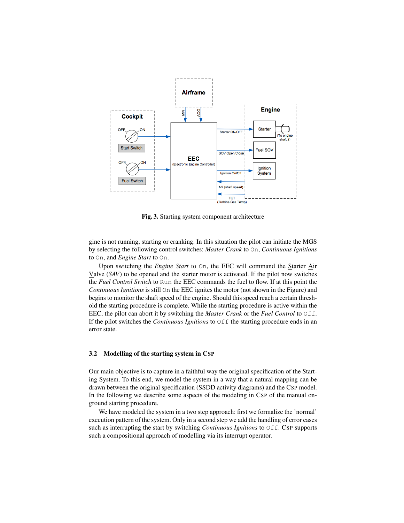

Fig. 3. Starting system component architecture

gine is not running, starting or cranking. In this situation the pilot can initiate the MGS by selecting the following control switches: *Master Crank* to On, *Continuous Ignitions* to On, and *Engine Start* to On.

Upon switching the *Engine Start* to On, the EEC will command the Starter Air Valve (*SAV*) to be opened and the starter motor is activated. If the pilot now switches the *Fuel Control Switch* to Run the EEC commands the fuel to flow. If at this point the *Continuous Ignitions* is still On the EEC ignites the motor (not shown in the Figure) and begins to monitor the shaft speed of the engine. Should this speed reach a certain threshold the starting procedure is complete. While the starting procedure is active within the EEC, the pilot can abort it by switching the *Master Crank* or the *Fuel Control* to Off. If the pilot switches the *Continuous Ignitions* to  $\bigcirc$  f the starting procedure ends in an error state.

### 3.2 Modelling of the starting system in CSP

Our main objective is to capture in a faithful way the original specification of the Starting System. To this end, we model the system in a way that a natural mapping can be drawn between the original specification (SSDD activity diagrams) and the CSP model. In the following we describe some aspects of the modeling in CSP of the manual onground starting procedure.

We have modeled the system in a two step approach: first we formalize the 'normal' execution pattern of the system. Only in a second step we add the handling of error cases such as interrupting the start by switching *Continuous Ignitions* to Off. CSP supports such a compositional approach of modelling via its interrupt operator.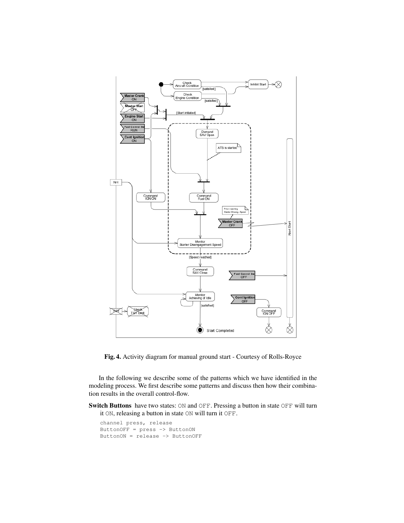

<span id="page-6-0"></span>Fig. 4. Activity diagram for manual ground start - Courtesy of Rolls-Royce

In the following we describe some of the patterns which we have identified in the modeling process. We first describe some patterns and discuss then how their combination results in the overall control-flow.

Switch Buttons have two states: ON and OFF. Pressing a button in state OFF will turn it ON, releasing a button in state ON will turn it OFF.

```
channel press, release
ButtonOFF = press -> ButtonON
ButtonON = release -> ButtonOFF
```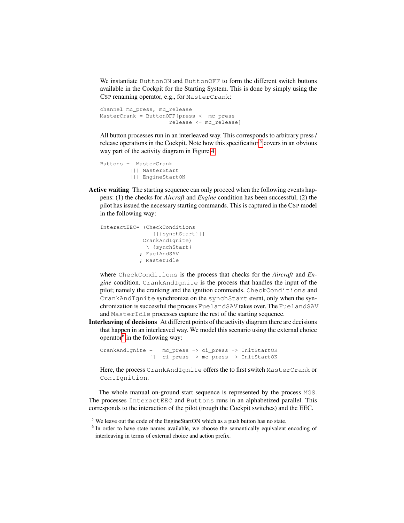We instantiate ButtonON and ButtonOFF to form the different switch buttons available in the Cockpit for the Starting System. This is done by simply using the CSP renaming operator, e.g., for MasterCrank:

```
channel mc_press, mc_release
MasterCrank = ButtonOFF[press <- mc_press
                     release <- mc_release]
```
All button processes run in an interleaved way. This corresponds to arbitrary press / release operations in the Cockpit. Note how this specification<sup>[5](#page-7-0)</sup> covers in an obvious way part of the activity diagram in Figure [4.](#page-6-0)

```
Buttons = MasterCrank
        ||| MasterStart
         ||| EngineStartON
```
Active waiting The starting sequence can only proceed when the following events happens: (1) the checks for *Aircraft* and *Engine* condition has been successful, (2) the pilot has issued the necessary starting commands. This is captured in the CSP model in the following way:

```
InteractEEC= (CheckConditions
               [|{synchStart}|]
            CrankAndIgnite)
             \ {synchStart}
            ; FuelAndSAV
            ; MasterIdle
```
where CheckConditions is the process that checks for the *Aircraft* and *Engine* condition. CrankAndIgnite is the process that handles the input of the pilot; namely the cranking and the ignition commands. CheckConditions and CrankAndIgnite synchronize on the synchStart event, only when the synchronization is successful the process FuelandSAV takes over. The FuelandSAV and MasterIdle processes capture the rest of the starting sequence.

Interleaving of decisions At different points of the activity diagram there are decisions that happen in an interleaved way. We model this scenario using the external choice operator<sup>[6](#page-7-1)</sup> in the following way:

```
CrankAndIgnite = mc_press -> ci_press -> InitStartOK
              [] ci_press -> mc_press -> InitStartOK
```
Here, the process CrankAndIgnite offers the to first switch MasterCrank or ContIgnition.

The whole manual on-ground start sequence is represented by the process MGS. The processes InteractEEC and Buttons runs in an alphabetized parallel. This corresponds to the interaction of the pilot (trough the Cockpit switches) and the EEC.

<span id="page-7-0"></span> $<sup>5</sup>$  We leave out the code of the EngineStartON which as a push button has no state.</sup>

<span id="page-7-1"></span><sup>&</sup>lt;sup>6</sup> In order to have state names available, we choose the semantically equivalent encoding of interleaving in terms of external choice and action prefix.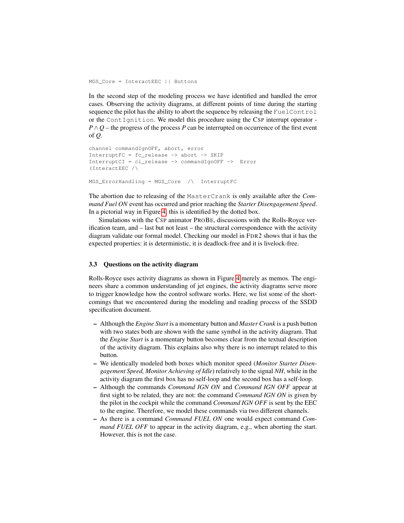MGS\_Core = InteractEEC || Buttons

In the second step of the modeling process we have identified and handled the error cases. Observing the activity diagrams, at different points of time during the starting sequence the pilot has the ability to abort the sequence by releasing the FuelControl or the ContIgnition. We model this procedure using the CSP interrupt operator - $P \wedge Q$  – the progress of the process *P* can be interrupted on occurrence of the first event of *Q*.

```
channel commandIgnOFF, abort, error
InterruptFC = fc_release -> abort -> SKIP
InterruptCI = ci_release -> commandIgnOFF -> Error
(InteractEEC /\
MGS_ErrorHandling = MGS_Core /\ InterruptFC
```
The abortion due to releasing of the MasterCrank is only available after the *Command Fuel ON* event has occurred and prior reaching the *Starter Disengagement Speed*. In a pictorial way in Figure [4,](#page-6-0) this is identified by the dotted box.

Simulations with the CSP animator PROBE, discussions with the Rolls-Royce verification team, and – last but not least – the structural correspondence with the activity diagram validate our formal model. Checking our model in FDR2 shows that it has the expected properties: it is deterministic, it is deadlock-free and it is livelock-free.

### 3.3 Questions on the activity diagram

Rolls-Royce uses activity diagrams as shown in Figure [4](#page-6-0) merely as memos. The engineers share a common understanding of jet engines, the activity diagrams serve more to trigger knowledge how the control software works. Here, we list some of the shortcomings that we encountered during the modeling and reading process of the SSDD specification document.

- Although the *Engine Start* is a momentary button and *Master Crank* is a push button with two states both are shown with the same symbol in the activity diagram. That the *Engine Start* is a momentary button becomes clear from the textual description of the activity diagram. This explains also why there is no interrupt related to this button.
- We identically modeled both boxes which monitor speed (*Monitor Starter Disengagement Speed, Monitor Achieving of Idle*) relatively to the signal *NH*, while in the activity diagram the first box has no self-loop and the second box has a self-loop.
- Although the commands *Command IGN ON* and *Command IGN OFF* appear at first sight to be related, they are not: the command *Command IGN ON* is given by the pilot in the cockpit while the command *Command IGN OFF* is sent by the EEC to the engine. Therefore, we model these commands via two different channels.
- As there is a command *Command FUEL ON* one would expect command *Command FUEL OFF* to appear in the activity diagram, e.g., when aborting the start. However, this is not the case.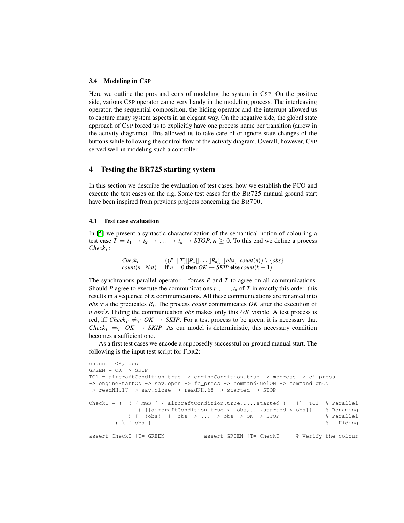#### 3.4 Modeling in CSP

Here we outline the pros and cons of modeling the system in CSP. On the positive side, various CSP operator came very handy in the modeling process. The interleaving operator, the sequential composition, the hiding operator and the interrupt allowed us to capture many system aspects in an elegant way. On the negative side, the global state approach of CSP forced us to explicitly have one process name per transition (arrow in the activity diagrams). This allowed us to take care of or ignore state changes of the buttons while following the control flow of the activity diagram. Overall, however, CSP served well in modeling such a controller.

## <span id="page-9-0"></span>4 Testing the BR725 starting system

In this section we describe the evaluation of test cases, how we establish the PCO and execute the test cases on the rig. Some test cases for the BR725 manual ground start have been inspired from previous projects concerning the BR700.

#### 4.1 Test case evaluation

In [\[5\]](#page-12-0) we present a syntactic characterization of the semantical notion of colouring a test case  $T = t_1 \rightarrow t_2 \rightarrow \ldots \rightarrow t_n \rightarrow STOP$ ,  $n \ge 0$ . To this end we define a process  $Check_T$ :

> $Check_T = ((P \parallel T)[[R_1]] \dots [R_n] \mid [obs] | count(n)) \setminus \{obs\}$  $count(n : Nat) =$  if  $n = 0$  then  $OK \rightarrow SKIP$  else  $count(k - 1)$

The synchronous parallel operator  $\parallel$  forces *P* and *T* to agree on all communications. Should *P* agree to execute the communications  $t_1, \ldots, t_n$  of *T* in exactly this order, this results in a sequence of *n* communications. All these communications are renamed into *obs* via the predicates *R<sup>i</sup>* . The process *count* communicates *OK* after the execution of *n obs's*. Hiding the communication *obs* makes only this *OK* visible. A test process is red, iff *Check<sub>T</sub>*  $\neq$  *OK*  $\rightarrow$  *SKIP*. For a test process to be green, it is necessary that *Check<sub>T</sub>* =  $\tau$  *OK*  $\rightarrow$  *SKIP*. As our model is deterministic, this necessary condition becomes a sufficient one.

As a first test cases we encode a supposedly successful on-ground manual start. The following is the input test script for FDR2:

```
channel OK, obs
GREEN = OK \rightarrow SKIPTC1 = aircraftCondition.true -> engineCondition.true -> mcpress -> ci_press
-> engineStartON -> sav.open -> fc_press -> commandFuelON -> commandIgnON
\rightarrow readNH.17 \rightarrow sav.close \rightarrow readNH.68 \rightarrow started \rightarrow STOP
CheckT = ( ( ( MGS [ {|aircraftCondition.true,...,started|} |] TC1 % Parallel
             ) [[aircraftCondition.true <- obs,...,started <-obs]] % Renaming
           ) [| {obs} |] obs -> ... -> obs -> OK -> STOP % Parallel
       ) \ { obs } % Hiding
assert CheckT [T= GREEN assert GREEN [T= CheckT % Verify the colour
```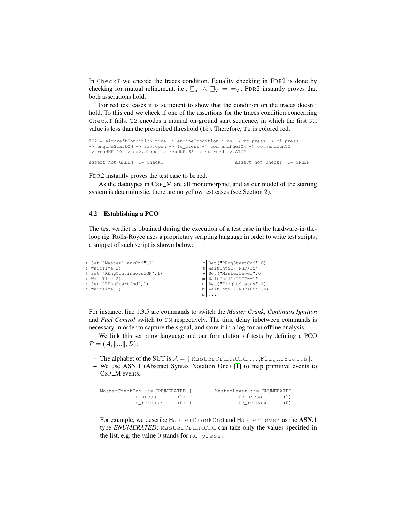In CheckT we encode the traces condition. Equality checking in FDR2 is done by checking for mutual refinement, i.e.,  $\sqsubseteq_{\mathcal{T}} \wedge \sqsupseteq_{\mathcal{T}} \Rightarrow \equiv_{\mathcal{T}}$ . FDR2 instantly proves that both asserations hold.

For red test cases it is sufficient to show that the condition on the traces doesn't hold. To this end we check if one of the assertions for the traces condition concerning CheckT fails. T2 encodes a manual on-ground start sequence, in which the first NH value is less than the prescribed threshold (15). Therefore, T2 is colored red.

```
TC2 = aircraftCondition.true -> engineCondition.true -> mc_press -> ci_press
-> engineStartON -> sav.open -> fc_press -> commandFuelON -> commandIgnON
\rightarrow readNH.10 \rightarrow sav.close \rightarrow readNH.68 \rightarrow started \rightarrow STOP
```
assert not GREEN [T= CheckT assert not CheckT [T= GREEN

FDR2 instantly proves the test case to be red.

As the datatypes in CSP\_M are all monomorphic, and as our model of the starting system is deterministic, there are no yellow test cases (see Section 2).

#### 4.2 Establishing a PCO

The test verdict is obtained during the execution of a test case in the hardware-in-theloop rig. Rolls-Royce uses a proprietary scripting language in order to write test scripts; a snippet of such script is shown below:

| i Set ("MasterCrankCnd", 1)    | 7 Set ("REngStartCnd", 0)     |
|--------------------------------|-------------------------------|
| $2$ WaitTime $(2)$             | $8$ WaitUntil ("NHP>15")      |
| 3 Set ("REngContinuousIGN", 1) | 9 Set ("MasterLever", 0)      |
| 4   WaitTime (2)               | 10   WaitUntil ("LIT==1")     |
| 5 Set ("REngStartCnd", 1)      | 11   Set("FlightStatus", 1)   |
| 6   WaitTime (2)               | 12   WaitUntil ("NHP>65", 60) |
|                                |                               |

For instance, line 1,3,5 are commands to switch the *Master Crank*, *Continuos Ignition* and *Fuel Control* switch to ON respectively. The time delay inbetween commands is necessary in order to capture the signal, and store it in a log for an offline analysis.

We link this scripting language and our formulation of tests by defining a PCO  $\mathcal{P} = (\mathcal{A}, \|\ldots\|, \mathcal{D})$ :

- The alphabet of the SUT is  $A = \{ MasterCrankCnd, \ldots, FlightStatus\}.$
- We use ASN.1 (Abstract Syntax Notation One) [\[1\]](#page-12-11) to map primitive events to CSP\_M events.

| MasterCrankCnd ::= ENUMERATED { |         | MasterLever ::= ENUMERATED { |         |  |
|---------------------------------|---------|------------------------------|---------|--|
| mc press                        | ( L )   | fc press                     | (1)     |  |
| mc release                      | $(0)$ } | fc release                   | $(0)$ } |  |

For example, we describe MasterCrankCnd and MasterLever as the ASN.1 type *ENUMERATED*; MasterCrankCnd can take only the values specified in the list, e.g. the value  $0$  stands for  $mc\_press$ .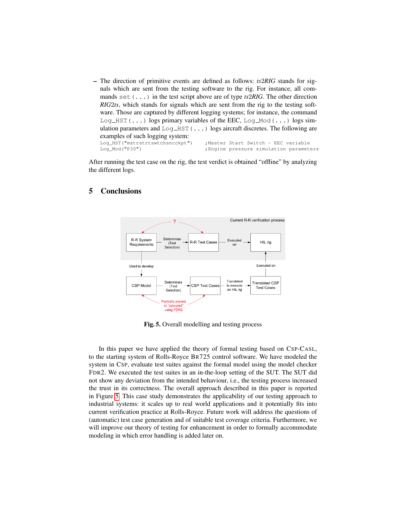– The direction of primitive events are defined as follows: *ts*2*RIG* stands for signals which are sent from the testing software to the rig. For instance, all commands set(...) in the test script above are of type *ts*2*RIG*. The other direction *RIG*2*ts*, which stands for signals which are sent from the rig to the testing software. Those are captured by different logging systems; for instance, the command  $Log_HST(\ldots)$  logs primary variables of the EEC,  $Log_Mod(\ldots)$  logs simulation parameters and  $Log_HST(\ldots)$  logs aircraft discretes. The following are examples of such logging system:<br>Log\_HST("mstrstrtswtchsncckpt") ;Master Start Switch - EEC variable Log\_Mod("P30") ;Engine pressure simulation parameters

After running the test case on the rig, the test verdict is obtained "offline" by analyzing the different logs.



## 5 Conclusions

<span id="page-11-0"></span>Fig. 5. Overall modelling and testing process

In this paper we have applied the theory of formal testing based on CSP-CASL, to the starting system of Rolls-Royce BR725 control software. We have modeled the system in CSP, evaluate test suites against the formal model using the model checker FDR2. We executed the test suites in an in-the-loop setting of the SUT. The SUT did not show any deviation from the intended behaviour, i.e., the testing process increased the trust in its correctness. The overall approach described in this paper is reported in Figure [5.](#page-11-0) This case study demonstrates the applicability of our testing approach to industrial systems: it scales up to real world applications and it potentially fits into current verification practice at Rolls-Royce. Future work will address the questions of (automatic) test case generation and of suitable test coverage criteria. Furthermore, we will improve our theory of testing for enhancement in order to formally accommodate modeling in which error handling is added later on.